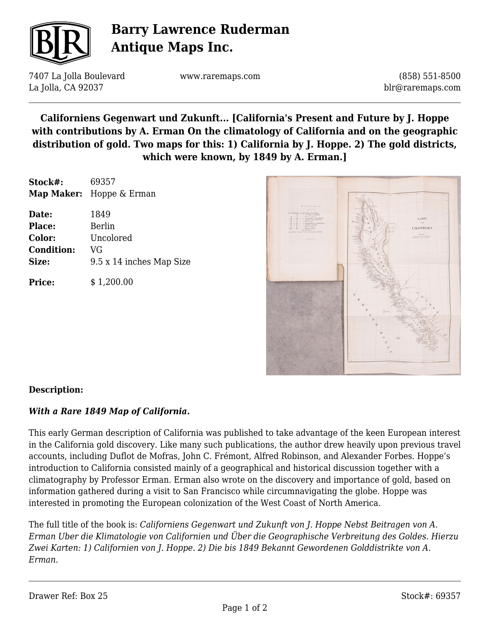

# **Barry Lawrence Ruderman Antique Maps Inc.**

7407 La Jolla Boulevard La Jolla, CA 92037

www.raremaps.com

(858) 551-8500 blr@raremaps.com

### **Californiens Gegenwart und Zukunft... [California's Present and Future by J. Hoppe with contributions by A. Erman On the climatology of California and on the geographic distribution of gold. Two maps for this: 1) California by J. Hoppe. 2) The gold districts, which were known, by 1849 by A. Erman.]**

| Stock#:           | 69357<br><b>Map Maker:</b> Hoppe & Erman |
|-------------------|------------------------------------------|
| Date:             | 1849                                     |
| <b>Place:</b>     | Berlin                                   |
| Color:            | Uncolored                                |
| <b>Condition:</b> | VG                                       |
| Size:             | 9.5 x 14 inches Map Size                 |
| <b>Price:</b>     | \$1,200.00                               |



### **Description:**

### *With a Rare 1849 Map of California.*

This early German description of California was published to take advantage of the keen European interest in the California gold discovery. Like many such publications, the author drew heavily upon previous travel accounts, including Duflot de Mofras, John C. Frémont, Alfred Robinson, and Alexander Forbes. Hoppe's introduction to California consisted mainly of a geographical and historical discussion together with a climatography by Professor Erman. Erman also wrote on the discovery and importance of gold, based on information gathered during a visit to San Francisco while circumnavigating the globe. Hoppe was interested in promoting the European colonization of the West Coast of North America.

The full title of the book is: *Californiens Gegenwart und Zukunft von J. Hoppe Nebst Beitragen von A. Erman Uber die Klimatologie von Californien und Über die Geographische Verbreitung des Goldes. Hierzu Zwei Karten: 1) Californien von J. Hoppe. 2) Die bis 1849 Bekannt Gewordenen Golddistrikte von A. Erman.*